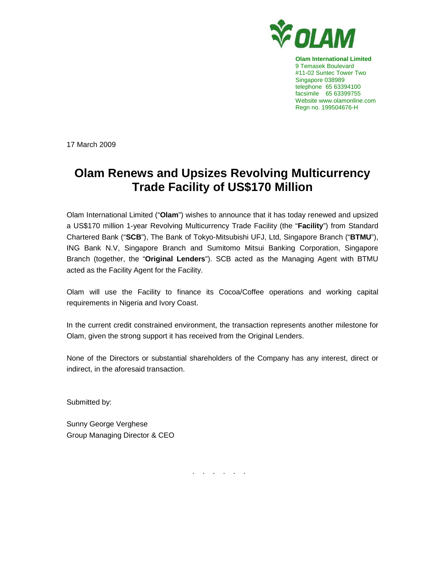

**Olam International Limited**  9 Temasek Boulevard #11-02 Suntec Tower Two Singapore 038989 telephone 65 63394100 facsimile 65 63399755 Website www.olamonline.com Regn no. 199504676-H

17 March 2009

## **Olam Renews and Upsizes Revolving Multicurrency Trade Facility of US\$170 Million**

Olam International Limited ("**Olam**") wishes to announce that it has today renewed and upsized a US\$170 million 1-year Revolving Multicurrency Trade Facility (the "**Facility**") from Standard Chartered Bank ("**SCB**"), The Bank of Tokyo-Mitsubishi UFJ, Ltd, Singapore Branch ("**BTMU**"), ING Bank N.V, Singapore Branch and Sumitomo Mitsui Banking Corporation, Singapore Branch (together, the "**Original Lenders**"). SCB acted as the Managing Agent with BTMU acted as the Facility Agent for the Facility.

Olam will use the Facility to finance its Cocoa/Coffee operations and working capital requirements in Nigeria and Ivory Coast.

In the current credit constrained environment, the transaction represents another milestone for Olam, given the strong support it has received from the Original Lenders.

None of the Directors or substantial shareholders of the Company has any interest, direct or indirect, in the aforesaid transaction.

Submitted by:

Sunny George Verghese Group Managing Director & CEO

. . . . . .